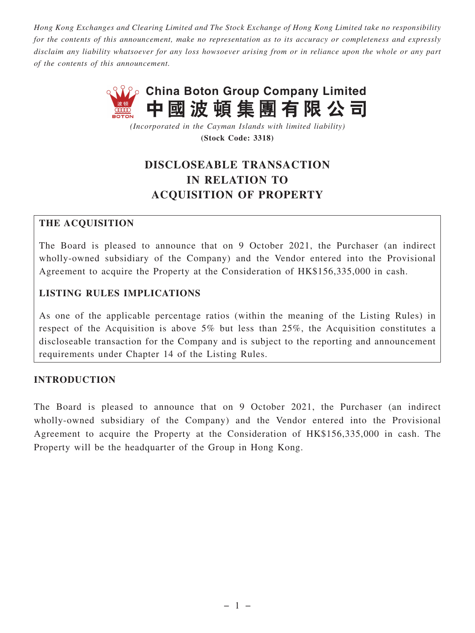*Hong Kong Exchanges and Clearing Limited and The Stock Exchange of Hong Kong Limited take no responsibility for the contents of this announcement, make no representation as to its accuracy or completeness and expressly disclaim any liability whatsoever for any loss howsoever arising from or in reliance upon the whole or any part of the contents of this announcement.*



*(Incorporated in the Cayman Islands with limited liability)* **(Stock Code: 3318)**

# **DISCLOSEABLE TRANSACTION IN RELATION TO ACQUISITION OF PROPERTY**

# **THE ACQUISITION**

The Board is pleased to announce that on 9 October 2021, the Purchaser (an indirect wholly-owned subsidiary of the Company) and the Vendor entered into the Provisional Agreement to acquire the Property at the Consideration of HK\$156,335,000 in cash.

# **LISTING RULES IMPLICATIONS**

As one of the applicable percentage ratios (within the meaning of the Listing Rules) in respect of the Acquisition is above 5% but less than 25%, the Acquisition constitutes a discloseable transaction for the Company and is subject to the reporting and announcement requirements under Chapter 14 of the Listing Rules.

#### **INTRODUCTION**

The Board is pleased to announce that on 9 October 2021, the Purchaser (an indirect wholly-owned subsidiary of the Company) and the Vendor entered into the Provisional Agreement to acquire the Property at the Consideration of HK\$156,335,000 in cash. The Property will be the headquarter of the Group in Hong Kong.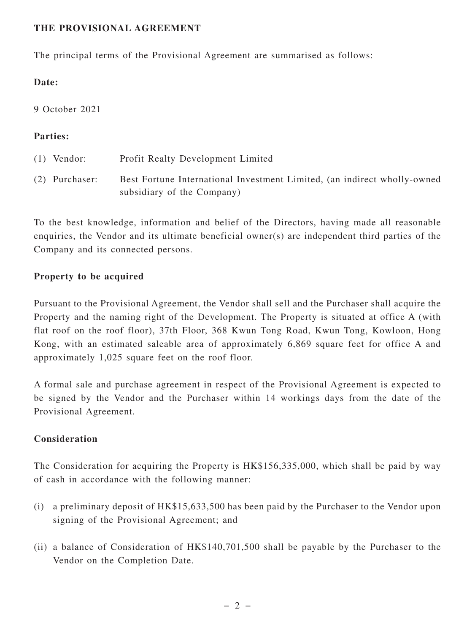#### **THE PROVISIONAL AGREEMENT**

The principal terms of the Provisional Agreement are summarised as follows:

#### **Date:**

9 October 2021

#### **Parties:**

| $(1)$ Vendor:    | Profit Realty Development Limited                                                                      |
|------------------|--------------------------------------------------------------------------------------------------------|
| $(2)$ Purchaser: | Best Fortune International Investment Limited, (an indirect wholly-owned<br>subsidiary of the Company) |

To the best knowledge, information and belief of the Directors, having made all reasonable enquiries, the Vendor and its ultimate beneficial owner(s) are independent third parties of the Company and its connected persons.

# **Property to be acquired**

Pursuant to the Provisional Agreement, the Vendor shall sell and the Purchaser shall acquire the Property and the naming right of the Development. The Property is situated at office A (with flat roof on the roof floor), 37th Floor, 368 Kwun Tong Road, Kwun Tong, Kowloon, Hong Kong, with an estimated saleable area of approximately 6,869 square feet for office A and approximately 1,025 square feet on the roof floor.

A formal sale and purchase agreement in respect of the Provisional Agreement is expected to be signed by the Vendor and the Purchaser within 14 workings days from the date of the Provisional Agreement.

# **Consideration**

The Consideration for acquiring the Property is HK\$156,335,000, which shall be paid by way of cash in accordance with the following manner:

- (i) a preliminary deposit of HK\$15,633,500 has been paid by the Purchaser to the Vendor upon signing of the Provisional Agreement; and
- (ii) a balance of Consideration of HK\$140,701,500 shall be payable by the Purchaser to the Vendor on the Completion Date.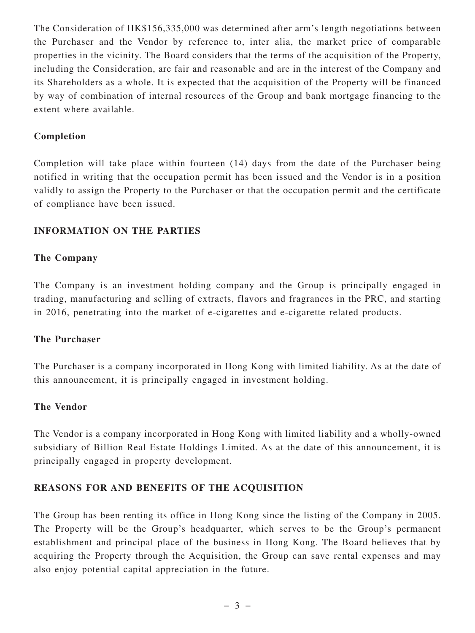The Consideration of HK\$156,335,000 was determined after arm's length negotiations between the Purchaser and the Vendor by reference to, inter alia, the market price of comparable properties in the vicinity. The Board considers that the terms of the acquisition of the Property, including the Consideration, are fair and reasonable and are in the interest of the Company and its Shareholders as a whole. It is expected that the acquisition of the Property will be financed by way of combination of internal resources of the Group and bank mortgage financing to the extent where available.

#### **Completion**

Completion will take place within fourteen (14) days from the date of the Purchaser being notified in writing that the occupation permit has been issued and the Vendor is in a position validly to assign the Property to the Purchaser or that the occupation permit and the certificate of compliance have been issued.

# **INFORMATION ON THE PARTIES**

#### **The Company**

The Company is an investment holding company and the Group is principally engaged in trading, manufacturing and selling of extracts, flavors and fragrances in the PRC, and starting in 2016, penetrating into the market of e-cigarettes and e-cigarette related products.

#### **The Purchaser**

The Purchaser is a company incorporated in Hong Kong with limited liability. As at the date of this announcement, it is principally engaged in investment holding.

#### **The Vendor**

The Vendor is a company incorporated in Hong Kong with limited liability and a wholly-owned subsidiary of Billion Real Estate Holdings Limited. As at the date of this announcement, it is principally engaged in property development.

#### **REASONS FOR AND BENEFITS OF THE ACQUISITION**

The Group has been renting its office in Hong Kong since the listing of the Company in 2005. The Property will be the Group's headquarter, which serves to be the Group's permanent establishment and principal place of the business in Hong Kong. The Board believes that by acquiring the Property through the Acquisition, the Group can save rental expenses and may also enjoy potential capital appreciation in the future.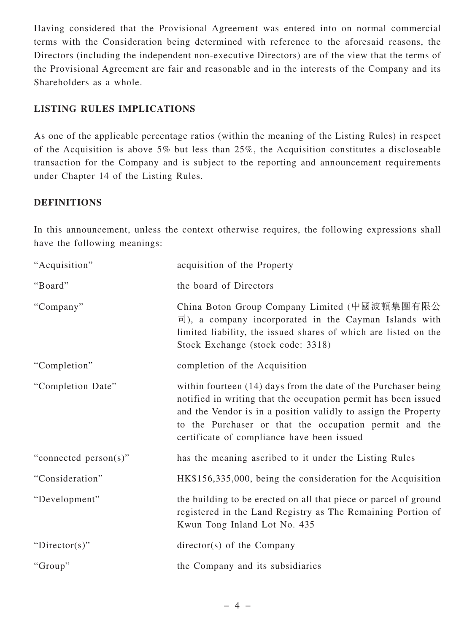Having considered that the Provisional Agreement was entered into on normal commercial terms with the Consideration being determined with reference to the aforesaid reasons, the Directors (including the independent non-executive Directors) are of the view that the terms of the Provisional Agreement are fair and reasonable and in the interests of the Company and its Shareholders as a whole.

# **LISTING RULES IMPLICATIONS**

As one of the applicable percentage ratios (within the meaning of the Listing Rules) in respect of the Acquisition is above 5% but less than 25%, the Acquisition constitutes a discloseable transaction for the Company and is subject to the reporting and announcement requirements under Chapter 14 of the Listing Rules.

# **DEFINITIONS**

In this announcement, unless the context otherwise requires, the following expressions shall have the following meanings:

| "Acquisition"         | acquisition of the Property                                                                                                                                                                                                                                                                                |
|-----------------------|------------------------------------------------------------------------------------------------------------------------------------------------------------------------------------------------------------------------------------------------------------------------------------------------------------|
| "Board"               | the board of Directors                                                                                                                                                                                                                                                                                     |
| "Company"             | China Boton Group Company Limited (中國波頓集團有限公<br>$\overrightarrow{\mathbb{E}}$ ), a company incorporated in the Cayman Islands with<br>limited liability, the issued shares of which are listed on the<br>Stock Exchange (stock code: 3318)                                                                 |
| "Completion"          | completion of the Acquisition                                                                                                                                                                                                                                                                              |
| "Completion Date"     | within fourteen (14) days from the date of the Purchaser being<br>notified in writing that the occupation permit has been issued<br>and the Vendor is in a position validly to assign the Property<br>to the Purchaser or that the occupation permit and the<br>certificate of compliance have been issued |
| "connected person(s)" | has the meaning ascribed to it under the Listing Rules                                                                                                                                                                                                                                                     |
| "Consideration"       | HK\$156,335,000, being the consideration for the Acquisition                                                                                                                                                                                                                                               |
| "Development"         | the building to be erected on all that piece or parcel of ground<br>registered in the Land Registry as The Remaining Portion of<br>Kwun Tong Inland Lot No. 435                                                                                                                                            |
| "Director(s)"         | $directory(s)$ of the Company                                                                                                                                                                                                                                                                              |
| "Group"               | the Company and its subsidiaries                                                                                                                                                                                                                                                                           |